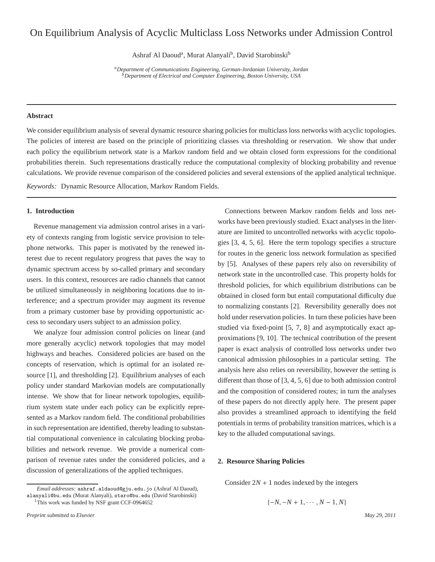# On Equilibrium Analysis of Acyclic Multiclass Loss Networks under Admission Control

Ashraf Al Daoud<sup>a</sup>, Murat Alanyali<sup>b</sup>, David Starobinski<sup>b</sup>

*<sup>a</sup>Department of Communications Engineering, German-Jordanian University, Jordan <sup>b</sup>Department of Electrical and Computer Engineering, Boston University, USA*

## **Abstract**

We consider equilibrium analysis of several dynamic resource sharing policies for multiclass loss networks with acyclic topologies. The policies of interest are based on the principle of prioritizing classes via thresholding or reservation. We show that under each policy the equilibrium network state is a Markov random field and we obtain closed form expressions for the conditional probabilities therein. Such representations drastically reduce the computational complexity of blocking probability and revenue calculations. We provide revenue comparison of the considered policies and several extensions of the applied analytical technique.

*Keywords:* Dynamic Resource Allocation, Markov Random Fields.

## **1. Introduction**

Revenue management via admission control arises in a variety of contexts ranging from logistic service provision to telephone networks. This paper is motivated by the renewed interest due to recent regulatory progress that paves the way to dynamic spectrum access by so-called primary and secondary users. In this context, resources are radio channels that cannot be utilized simultaneously in neighboring locations due to interference; and a spectrum provider may augment its revenue from a primary customer base by providing opportunistic access to secondary users subject to an admission policy.

We analyze four admission control policies on linear (and more generally acyclic) network topologies that may model highways and beaches. Considered policies are based on the concepts of reservation, which is optimal for an isolated resource [1], and thresholding [2]. Equilibrium analyses of each policy under standard Markovian models are computationally intense. We show that for linear network topologies, equilibrium system state under each policy can be explicitly represented as a Markov random field. The conditional probabilities in such representation are identified, thereby leading to substantial computational convenience in calculating blocking probabilities and network revenue. We provide a numerical comparison of revenue rates under the considered policies, and a discussion of generalizations of the applied techniques.

*Email addresses:* ashraf.aldaoud@gju.edu.jo (Ashraf Al Daoud), alanyali@bu.edu (Murat Alanyali), staro@bu.edu (David Starobinski) <sup>1</sup>This work was funded by NSF grant CCF-0964652

Connections between Markov random fields and loss networks have been previously studied. Exact analyses in the literature are limited to uncontrolled networks with acyclic topologies [3, 4, 5, 6]. Here the term topology specifies a structure for routes in the generic loss network formulation as specified by [5]. Analyses of these papers rely also on reversibility of network state in the uncontrolled case. This property holds for threshold policies, for which equilibrium distributions can be obtained in closed form but entail computational difficulty due to normalizing constants [2]. Reversibility generally does not hold under reservation policies. In turn these policies have been studied via fixed-point [5, 7, 8] and asymptotically exact approximations [9, 10]. The technical contribution of the present paper is exact analysis of controlled loss networks under two canonical admission philosophies in a particular setting. The analysis here also relies on reversibility, however the setting is different than those of [3, 4, 5, 6] due to both admission control and the composition of considered routes; in turn the analyses of these papers do not directly apply here. The present paper also provides a streamlined approach to identifying the field potentials in terms of probability transition matrices, which is a key to the alluded computational savings.

#### **2. Resource Sharing Policies**

Consider  $2N + 1$  nodes indexed by the integers

$$
\{-N, -N+1, \cdots, N-1, N\}
$$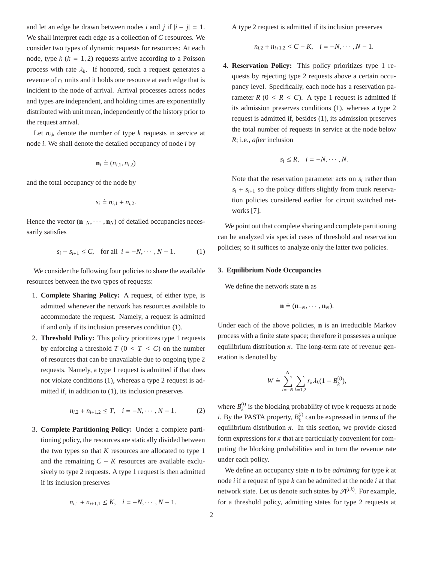and let an edge be drawn between nodes *i* and *j* if  $|i - j| = 1$ . We shall interpret each edge as a collection of *C* resources. We consider two types of dynamic requests for resources: At each node, type  $k$  ( $k = 1, 2$ ) requests arrive according to a Poisson process with rate  $\lambda_k$ . If honored, such a request generates a revenue of  $r_k$  units and it holds one resource at each edge that is incident to the node of arrival. Arrival processes across nodes and types are independent, and holding times are exponentially distributed with unit mean, independently of the history prior to the request arrival.

Let  $n_{i,k}$  denote the number of type  $k$  requests in service at node *i*. We shall denote the detailed occupancy of node *i* by

$$
\mathbf{n}_i \doteq (n_{i,1}, n_{i,2})
$$

and the total occupancy of the node by

$$
s_i \doteq n_{i,1} + n_{i,2}.
$$

Hence the vector  $(\mathbf{n}_{-N}, \cdots, \mathbf{n}_{N})$  of detailed occupancies necessarily satisfies

$$
s_i + s_{i+1} \le C
$$
, for all  $i = -N, \dots, N-1$ . (1)

We consider the following four policies to share the available resources between the two types of requests:

- 1. **Complete Sharing Policy:** A request, of either type, is admitted whenever the network has resources available to accommodate the request. Namely, a request is admitted if and only if its inclusion preserves condition (1).
- 2. **Threshold Policy:** This policy prioritizes type 1 requests by enforcing a threshold  $T$  ( $0 \leq T \leq C$ ) on the number of resources that can be unavailable due to ongoing type 2 requests. Namely, a type 1 request is admitted if that does not violate conditions (1), whereas a type 2 request is admitted if, in addition to (1), its inclusion preserves

$$
n_{i,2} + n_{i+1,2} \le T, \quad i = -N, \cdots, N-1.
$$
 (2)

3. **Complete Partitioning Policy:** Under a complete partitioning policy, the resources are statically divided between the two types so that  $K$  resources are allocated to type 1 and the remaining  $C - K$  resources are available exclusively to type 2 requests. A type 1 request is then admitted if its inclusion preserves

$$
n_{i,1} + n_{i+1,1} \leq K, \quad i = -N, \cdots, N-1.
$$

A type 2 request is admitted if its inclusion preserves

 $n_{i,2} + n_{i+1,2} \leq C - K$ ,  $i = -N, \dots, N - 1$ .

4. **Reservation Policy:** This policy prioritizes type 1 requests by rejecting type 2 requests above a certain occupancy level. Specifically, each node has a reservation parameter  $R$  ( $0 \leq R \leq C$ ). A type 1 request is admitted if its admission preserves conditions (1), whereas a type 2 request is admitted if, besides (1), its admission preserves the total number of requests in service at the node below *R*; i.e., *after* inclusion

$$
s_i \leq R, \quad i = -N, \cdots, N.
$$

Note that the reservation parameter acts on  $s_i$  rather than  $s_i + s_{i+1}$  so the policy differs slightly from trunk reservation policies considered earlier for circuit switched networks [7].

We point out that complete sharing and complete partitioning can be analyzed via special cases of threshold and reservation policies; so it suffices to analyze only the latter two policies.

### **3. Equilibrium Node Occupancies**

We define the network state **n** as

$$
\mathbf{n} \doteq (\mathbf{n}_{-N}, \cdots, \mathbf{n}_{N}).
$$

Under each of the above policies, **n** is an irreducible Markov process with a finite state space; therefore it possesses a unique equilibrium distribution  $\pi$ . The long-term rate of revenue generation is denoted by

$$
W \doteq \sum_{i=-N}^{N} \sum_{k=1,2} r_k \lambda_k (1 - B_k^{(i)}),
$$

where  $B_k^{(i)}$  $\binom{u}{k}$  is the blocking probability of type *k* requests at node *i*. By the PASTA property,  $B_k^{(i)}$  $\binom{u}{k}$  can be expressed in terms of the equilibrium distribution  $\pi$ . In this section, we provide closed form expressions for  $\pi$  that are particularly convenient for computing the blocking probabilities and in turn the revenue rate under each policy.

We define an occupancy state **n** to be *admitting* for type *k* at node *i* if a request of type *k* can be admitted at the node *i* at that network state. Let us denote such states by  $\mathcal{A}^{(i,k)}$ . For example, for a threshold policy, admitting states for type 2 requests at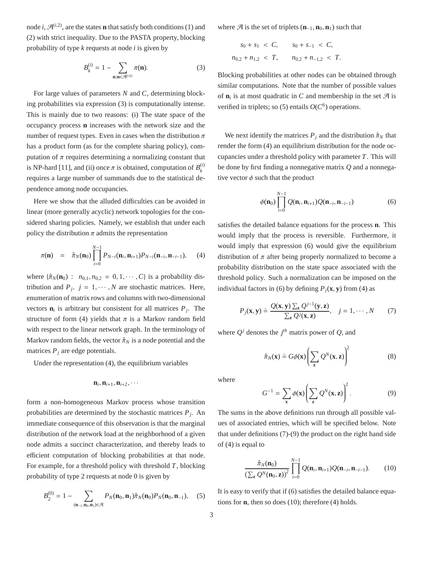node *i*,  $\mathcal{A}^{(i,2)}$ , are the states **n** that satisfy both conditions (1) and (2) with strict inequality. Due to the PASTA property, blocking probability of type *k* requests at node *i* is given by

$$
B_k^{(i)} = 1 - \sum_{\mathbf{n}: \mathbf{n} \in \mathcal{A}^{(i,k)}} \pi(\mathbf{n}).
$$
 (3)

For large values of parameters *N* and *C*, determining blocking probabilities via expression (3) is computationally intense. This is mainly due to two reasons: (i) The state space of the occupancy process **n** increases with the network size and the number of request types. Even in cases when the distribution  $\pi$ has a product form (as for the complete sharing policy), computation of  $\pi$  requires determining a normalizing constant that is NP-hard [11], and (ii) once  $\pi$  is obtained, computation of  $B_k^{(i)}$ *k* requires a large number of summands due to the statistical dependence among node occupancies.

Here we show that the alluded difficulties can be avoided in linear (more generally acyclic) network topologies for the considered sharing policies. Namely, we establish that under each policy the distribution  $\pi$  admits the representation

$$
\pi(\mathbf{n}) = \hat{\pi}_N(\mathbf{n}_0) \prod_{i=0}^{N-1} P_{N-i}(\mathbf{n}_i, \mathbf{n}_{i+1}) P_{N-i}(\mathbf{n}_{-i}, \mathbf{n}_{-i-1}), \quad (4)
$$

where  $\{\hat{\pi}_N(\mathbf{n}_0) : n_{0,1}, n_{0,2} = 0, 1, \dots, C\}$  is a probability distribution and  $P_j$ ,  $j = 1, \dots, N$  are stochastic matrices. Here, enumeration of matrix rows and columns with two-dimensional vectors  $\mathbf{n}_i$  is arbitrary but consistent for all matrices  $P_j$ . The structure of form (4) yields that  $\pi$  is a Markov random field with respect to the linear network graph. In the terminology of Markov random fields, the vector  $\hat{\pi}_N$  is a node potential and the matrices  $P_j$  are edge potentials.

Under the representation (4), the equilibrium variables

$$
\mathbf{n}_i, \mathbf{n}_{i+1}, \mathbf{n}_{i+2}, \cdots
$$

form a non-homogeneous Markov process whose transition probabilities are determined by the stochastic matrices *P<sup>j</sup>* . An immediate consequence of this observation is that the marginal distribution of the network load at the neighborhood of a given node admits a succinct characterization, and thereby leads to efficient computation of blocking probabilities at that node. For example, for a threshold policy with threshold *T*, blocking probability of type 2 requests at node 0 is given by

$$
B_2^{(0)} = 1 - \sum_{(\mathbf{n}_{-1}, \mathbf{n}_0, \mathbf{n}_1) \in \mathcal{A}} P_N(\mathbf{n}_0, \mathbf{n}_1) \hat{\pi}_N(\mathbf{n}_0) P_N(\mathbf{n}_0, \mathbf{n}_{-1}), \quad (5)
$$

where  $\mathcal{A}$  is the set of triplets  $(\mathbf{n}_{-1}, \mathbf{n}_0, \mathbf{n}_1)$  such that

$$
s_0 + s_1 < C
$$
,  $s_0 + s_{-1} < C$ ,  
\n $n_{0,2} + n_{1,2} < T$ ,  $n_{0,2} + n_{-1,2} < T$ .

Blocking probabilities at other nodes can be obtained through similar computations. Note that the number of possible values of  $\mathbf{n}_i$  is at most quadratic in *C* and membership in the set  $\mathcal{A}$  is verified in triplets; so (5) entails  $O(C^6)$  operations.

We next identify the matrices  $P_j$  and the distribution  $\hat{\pi}_N$  that render the form (4) an equilibrium distribution for the node occupancies under a threshold policy with parameter *T*. This will be done by first finding a nonnegative matrix *Q* and a nonnegative vector  $\phi$  such that the product

$$
\phi(\mathbf{n}_0) \prod_{i=0}^{N-1} Q(\mathbf{n}_i, \mathbf{n}_{i+1}) Q(\mathbf{n}_{-i}, \mathbf{n}_{-i-1})
$$
\n(6)

satisfies the detailed balance equations for the process **n**. This would imply that the process is reversible. Furthermore, it would imply that expression (6) would give the equilibrium distribution of  $\pi$  after being properly normalized to become a probability distribution on the state space associated with the threshold policy. Such a normalization can be imposed on the individual factors in (6) by defining  $P_j$ (**x**, **y**) from (4) as

$$
P_j(\mathbf{x}, \mathbf{y}) \doteq \frac{Q(\mathbf{x}, \mathbf{y}) \sum_{\mathbf{z}} Q^{j-1}(\mathbf{y}, \mathbf{z})}{\sum_{\mathbf{z}} Q^j(\mathbf{x}, \mathbf{z})}, \quad j = 1, \cdots, N \tag{7}
$$

where  $Q^j$  denotes the  $j^{th}$  matrix power of  $Q$ , and

$$
\hat{\pi}_N(\mathbf{x}) \doteq G\phi(\mathbf{x}) \left( \sum_{\mathbf{z}} Q^N(\mathbf{x}, \mathbf{z}) \right)^2 \tag{8}
$$

where

$$
G^{-1} = \sum_{\mathbf{x}} \phi(\mathbf{x}) \left( \sum_{\mathbf{z}} Q^N(\mathbf{x}, \mathbf{z}) \right)^2.
$$
 (9)

The sums in the above definitions run through all possible values of associated entries, which will be specified below. Note that under definitions (7)-(9) the product on the right hand side of (4) is equal to

$$
\frac{\hat{\pi}_N(\mathbf{n}_0)}{\left(\sum_{\mathbf{z}} Q^N(\mathbf{n}_0, \mathbf{z})\right)^2} \prod_{i=0}^{N-1} Q(\mathbf{n}_i, \mathbf{n}_{i+1}) Q(\mathbf{n}_{-i}, \mathbf{n}_{-i-1}).
$$
 (10)

It is easy to verify that if (6) satisfies the detailed balance equations for **n**, then so does (10); therefore (4) holds.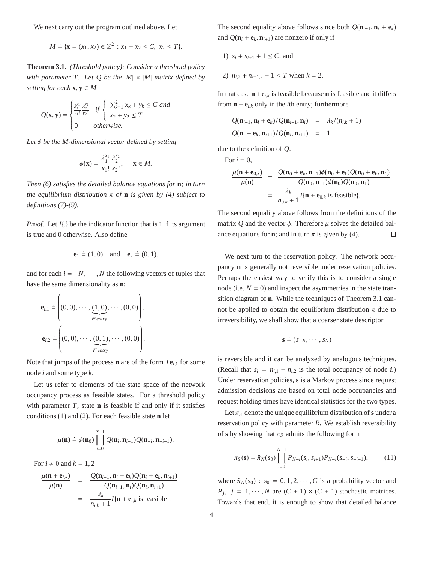We next carry out the program outlined above. Let

$$
M \doteq \{ \mathbf{x} = (x_1, x_2) \in \mathbb{Z}_+^2 : x_1 + x_2 \le C, x_2 \le T \}.
$$

**Theorem 3.1.** *(Threshold policy): Consider a threshold policy with parameter T. Let Q be the*  $|M| \times |M|$  *matrix defined by setting for each*  $\mathbf{x}, \mathbf{y} \in M$ 

$$
Q(\mathbf{x}, \mathbf{y}) = \begin{cases} \frac{\lambda_1^{y_1}}{y_1!} \frac{\lambda_2^{y_2}}{y_2!} & \text{if } \begin{cases} \sum_{k=1}^2 x_k + y_k \le C \text{ and} \\ x_2 + y_2 \le T \end{cases} \\ 0 & \text{otherwise.} \end{cases}
$$

*Let* φ *be the M-dimensional vector defined by setting*

$$
\phi(\mathbf{x}) = \frac{\lambda_1^{x_1}}{x_1!} \frac{\lambda_2^{x_2}}{x_2!}, \quad \mathbf{x} \in M.
$$

*Then (6) satisfies the detailed balance equations for* **n***; in turn the equilibrium distribution* π *of* **n** *is given by (4) subject to definitions (7)-(9).*

*Proof.* Let  $I\{.\}$  be the indicator function that is 1 if its argument is true and 0 otherwise. Also define

$$
e1 \doteq (1,0) and e2 \doteq (0,1),
$$

and for each  $i = -N, \dots, N$  the following vectors of tuples that have the same dimensionality as **n**:

$$
\mathbf{e}_{i,1} \doteq \left( (0,0), \cdots, \underbrace{(1,0)}_{i^{the entry}}, \cdots, (0,0) \right),
$$

$$
\mathbf{e}_{i,2} \doteq \left( (0,0), \cdots, \underbrace{(0,1)}_{i^{the entry}}, \cdots, (0,0) \right).
$$

Note that jumps of the process **n** are of the form  $\pm \mathbf{e}_{i,k}$  for some node *i* and some type *k*.

Let us refer to elements of the state space of the network occupancy process as feasible states. For a threshold policy with parameter  $T$ , state **n** is feasible if and only if it satisfies conditions (1) and (2). For each feasible state **n** let

$$
\mu(\mathbf{n}) \doteq \phi(\mathbf{n}_0) \prod_{i=0}^{N-1} Q(\mathbf{n}_i, \mathbf{n}_{i+1}) Q(\mathbf{n}_{-i}, \mathbf{n}_{-i-1}).
$$

For  $i \neq 0$  and  $k = 1, 2$ 

$$
\frac{\mu(\mathbf{n} + \mathbf{e}_{i,k})}{\mu(\mathbf{n})} = \frac{Q(\mathbf{n}_{i-1}, \mathbf{n}_i + \mathbf{e}_k)Q(\mathbf{n}_i + \mathbf{e}_k, \mathbf{n}_{i+1})}{Q(\mathbf{n}_{i-1}, \mathbf{n}_i)Q(\mathbf{n}_i, \mathbf{n}_{i+1})}
$$

$$
= \frac{\lambda_k}{n_{i,k} + 1} I\{\mathbf{n} + \mathbf{e}_{i,k} \text{ is feasible}\}.
$$

The second equality above follows since both  $Q(\mathbf{n}_{i-1}, \mathbf{n}_i + \mathbf{e}_k)$ and  $Q(\mathbf{n}_i + \mathbf{e}_k, \mathbf{n}_{i+1})$  are nonzero if only if

1) 
$$
s_i + s_{i\pm 1} + 1 \le C
$$
, and  
2)  $n_{i,2} + n_{i\pm 1,2} + 1 \le T$  when  $k = 2$ .

In that case  $\mathbf{n} + \mathbf{e}_{i,k}$  is feasible because **n** is feasible and it differs from  $\mathbf{n} + \mathbf{e}_{i,k}$  only in the *i*th entry; furthermore

$$
Q(\mathbf{n}_{i-1}, \mathbf{n}_i + \mathbf{e}_k) / Q(\mathbf{n}_{i-1}, \mathbf{n}_i) = \lambda_k / (n_{i,k} + 1)
$$
  

$$
Q(\mathbf{n}_i + \mathbf{e}_k, \mathbf{n}_{i+1}) / Q(\mathbf{n}_i, \mathbf{n}_{i+1}) = 1
$$

due to the definition of *Q*.

For 
$$
i = 0
$$
,  
\n
$$
\frac{\mu(\mathbf{n} + \mathbf{e}_{0,k})}{\mu(\mathbf{n})} = \frac{Q(\mathbf{n}_0 + \mathbf{e}_k, \mathbf{n}_{-1})\phi(\mathbf{n}_0 + \mathbf{e}_k)Q(\mathbf{n}_0 + \mathbf{e}_k, \mathbf{n}_1)}{Q(\mathbf{n}_0, \mathbf{n}_{-1})\phi(\mathbf{n}_0)Q(\mathbf{n}_0, \mathbf{n}_1)}
$$
\n
$$
= \frac{\lambda_k}{n_{0,k} + 1} I\{\mathbf{n} + \mathbf{e}_{0,k} \text{ is feasible}\}.
$$

The second equality above follows from the definitions of the matrix *Q* and the vector  $\phi$ . Therefore  $\mu$  solves the detailed balance equations for **n**; and in turn  $\pi$  is given by (4).  $\Box$ 

We next turn to the reservation policy. The network occupancy **n** is generally not reversible under reservation policies. Perhaps the easiest way to verify this is to consider a single node (i.e.  $N = 0$ ) and inspect the asymmetries in the state transition diagram of **n**. While the techniques of Theorem 3.1 cannot be applied to obtain the equilibrium distribution  $\pi$  due to irreversibility, we shall show that a coarser state descriptor

$$
\mathbf{s} \doteq (s_{-N}, \cdots, s_N)
$$

is reversible and it can be analyzed by analogous techniques. (Recall that  $s_i = n_{i,1} + n_{i,2}$  is the total occupancy of node *i*.) Under reservation policies, **s** is a Markov process since request admission decisions are based on total node occupancies and request holding times have identical statistics for the two types.

Let  $\pi_S$  denote the unique equilibrium distribution of **s** under a reservation policy with parameter *R*. We establish reversibility of **s** by showing that  $\pi_S$  admits the following form

$$
\pi_S(\mathbf{s}) = \hat{\pi}_N(s_0) \prod_{i=0}^{N-1} P_{N-i}(s_i, s_{i+1}) P_{N-i}(s_{-i}, s_{-i-1}), \tag{11}
$$

where  $\hat{\pi}_N(s_0)$ :  $s_0 = 0, 1, 2, \dots, C$  is a probability vector and  $P_j$ ,  $j = 1, \dots, N$  are  $(C + 1) \times (C + 1)$  stochastic matrices. Towards that end, it is enough to show that detailed balance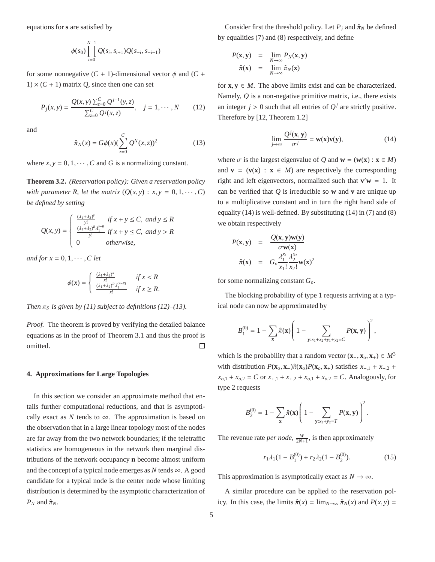equations for **s** are satisfied by

$$
\phi(s_0) \prod_{i=0}^{N-1} Q(s_i, s_{i+1}) Q(s_{-i}, s_{-i-1})
$$

for some nonnegative  $(C + 1)$ -dimensional vector  $\phi$  and  $(C +$  $1) \times (C + 1)$  matrix *Q*, since then one can set

$$
P_j(x, y) = \frac{Q(x, y) \sum_{z=0}^{C} Q^{j-1}(y, z)}{\sum_{z=0}^{C} Q^{j}(x, z)}, \quad j = 1, \cdots, N \qquad (12)
$$

and

$$
\hat{\pi}_N(x) = G\phi(x) (\sum_{z=0}^{C} Q^N(x, z))^2
$$
\n(13)

where  $x, y = 0, 1, \dots, C$  and *G* is a normalizing constant.

**Theorem 3.2.** *(Reservation policy): Given a reservation policy with parameter R, let the matrix*  $(O(x, y) : x, y = 0, 1, \dots, C)$ *be defined by setting*

$$
Q(x, y) = \begin{cases} \frac{(\lambda_1 + \lambda_2)^y}{y!} & \text{if } x + y \le C, \text{ and } y \le R\\ \frac{(\lambda_1 + \lambda_2)^R \lambda_1^{y-R}}{y!} & \text{if } x + y \le C, \text{ and } y > R\\ 0 & \text{otherwise,} \end{cases}
$$

*and for*  $x = 0, 1, \dots, C$  *let* 

$$
\phi(x) = \begin{cases} \frac{(\lambda_1 + \lambda_2)^x}{x!} & \text{if } x < R\\ \frac{(\lambda_1 + \lambda_2)^R \lambda_1^{(x-R)}}{x!} & \text{if } x \ge R. \end{cases}
$$

*Then*  $\pi_S$  *is given by (11) subject to definitions (12)–(13).* 

*Proof.* The theorem is proved by verifying the detailed balance equations as in the proof of Theorem 3.1 and thus the proof is omitted. □

## **4. Approximations for Large Topologies**

In this section we consider an approximate method that entails further computational reductions, and that is asymptotically exact as *N* tends to  $\infty$ . The approximation is based on the observation that in a large linear topology most of the nodes are far away from the two network boundaries; if the teletraffic statistics are homogeneous in the network then marginal distributions of the network occupancy **n** become almost uniform and the concept of a typical node emerges as  $N$  tends  $\infty$ . A good candidate for a typical node is the center node whose limiting distribution is determined by the asymptotic characterization of  $P_N$  and  $\hat{\pi}_N$ .

Consider first the threshold policy. Let  $P_j$  and  $\hat{\pi}_N$  be defined by equalities (7) and (8) respectively, and define

$$
P(\mathbf{x}, \mathbf{y}) = \lim_{N \to \infty} P_N(\mathbf{x}, \mathbf{y})
$$

$$
\hat{\pi}(\mathbf{x}) = \lim_{N \to \infty} \hat{\pi}_N(\mathbf{x})
$$

for  $\mathbf{x}, \mathbf{y} \in M$ . The above limits exist and can be characterized. Namely, *Q* is a non-negative primitive matrix, i.e., there exists an integer  $j > 0$  such that all entries of  $Q<sup>j</sup>$  are strictly positive. Therefore by [12, Theorem 1.2]

$$
\lim_{j \to \infty} \frac{Q^j(\mathbf{x}, \mathbf{y})}{\sigma^j} = \mathbf{w}(\mathbf{x}) \mathbf{v}(\mathbf{y}),\tag{14}
$$

where  $\sigma$  is the largest eigenvalue of *Q* and  $\mathbf{w} = (\mathbf{w}(\mathbf{x}) : \mathbf{x} \in M)$ and  $\mathbf{v} = (\mathbf{v}(\mathbf{x}) : \mathbf{x} \in M)$  are respectively the corresponding right and left eigenvectors, normalized such that  $\mathbf{v}'\mathbf{w} = 1$ . It can be verified that *Q* is irreducible so **w** and **v** are unique up to a multiplicative constant and in turn the right hand side of equality (14) is well-defined. By substituting  $(14)$  in  $(7)$  and  $(8)$ we obtain respectively

$$
P(\mathbf{x}, \mathbf{y}) = \frac{Q(\mathbf{x}, \mathbf{y}) \mathbf{w}(\mathbf{y})}{\sigma \mathbf{w}(\mathbf{x})}
$$

$$
\hat{\pi}(\mathbf{x}) = G_o \frac{\lambda_1^{x_1} \lambda_2^{x_2}}{x_1! \, x_2!} \mathbf{w}(\mathbf{x})^2
$$

for some normalizing constant *Go*.

The blocking probability of type 1 requests arriving at a typical node can now be approximated by

$$
B_1^{(0)} = 1 - \sum_{\mathbf{x}} \hat{\pi}(\mathbf{x}) \left( 1 - \sum_{\mathbf{y}:x_1 + x_2 + y_1 + y_2 = C} P(\mathbf{x}, \mathbf{y}) \right)^2,
$$

which is the probability that a random vector  $(\mathbf{x}_-, \mathbf{x}_0, \mathbf{x}_+) \in M^3$ with distribution  $P(\mathbf{x}_o, \mathbf{x}_-) \hat{\pi}(\mathbf{x}_o) P(\mathbf{x}_o, \mathbf{x}_+)$  satisfies  $x_{-,1} + x_{-,2} + x_{-}$  $x_{o,1} + x_{o,2} = C$  or  $x_{+,1} + x_{+,2} + x_{o,1} + x_{o,2} = C$ . Analogously, for type 2 requests

$$
B_2^{(0)} = 1 - \sum_{\mathbf{x}} \hat{\pi}(\mathbf{x}) \left( 1 - \sum_{\mathbf{y}: x_2 + y_2 = T} P(\mathbf{x}, \mathbf{y}) \right)^2.
$$

The revenue rate *per node*,  $\frac{W}{2N+1}$ , is then approximately

$$
r_1 \lambda_1 (1 - B_1^{(0)}) + r_2 \lambda_2 (1 - B_2^{(0)}).
$$
 (15)

This approximation is asymptotically exact as  $N \to \infty$ .

A similar procedure can be applied to the reservation policy. In this case, the limits  $\hat{\pi}(x) = \lim_{N \to \infty} \hat{\pi}_N(x)$  and  $P(x, y) =$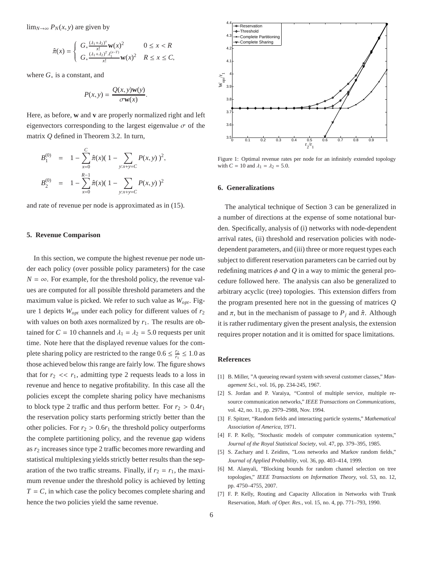$\lim_{N\to\infty} P_N(x, y)$  are given by

$$
\hat{\pi}(x) = \begin{cases}\nG_* \frac{(\lambda_1 + \lambda_2)^x}{x!} \mathbf{w}(x)^2 & 0 \le x < R \\
G_* \frac{(\lambda_1 + \lambda_2)^T \lambda_1^{(x-T)}}{x!} \mathbf{w}(x)^2 < R \le x \le C,\n\end{cases}
$$

where *G*<sup>∗</sup> is a constant, and

$$
P(x, y) = \frac{Q(x, y)w(y)}{\sigma w(x)}.
$$

Here, as before, **w** and **v** are properly normalized right and left eigenvectors corresponding to the largest eigenvalue  $\sigma$  of the matrix *Q* defined in Theorem 3.2. In turn,

$$
B_1^{(0)} = 1 - \sum_{x=0}^{C} \hat{\pi}(x) (1 - \sum_{y:x+y=C} P(x, y))^2,
$$
  
\n
$$
B_2^{(0)} = 1 - \sum_{x=0}^{R-1} \hat{\pi}(x) (1 - \sum_{y:x+y=C} P(x, y))^2
$$

and rate of revenue per node is approximated as in (15).

## **5. Revenue Comparison**

In this section, we compute the highest revenue per node under each policy (over possible policy parameters) for the case  $N = \infty$ . For example, for the threshold policy, the revenue values are computed for all possible threshold parameters and the maximum value is picked. We refer to such value as *Wopt*. Figure 1 depicts *Wopt* under each policy for different values of *r*<sup>2</sup> with values on both axes normalized by  $r_1$ . The results are obtained for  $C = 10$  channels and  $\lambda_1 = \lambda_2 = 5.0$  requests per unit time. Note here that the displayed revenue values for the complete sharing policy are restricted to the range  $0.6 \le \frac{r_2}{r_1} \le 1.0$  as those achieved below this range are fairly low. The figure shows that for  $r_2 \ll r_1$ , admitting type 2 requests leads to a loss in revenue and hence to negative profitability. In this case all the policies except the complete sharing policy have mechanisms to block type 2 traffic and thus perform better. For  $r_2 > 0.4r_1$ the reservation policy starts performing strictly better than the other policies. For  $r_2 > 0.6r_1$  the threshold policy outperforms the complete partitioning policy, and the revenue gap widens as *r*<sup>2</sup> increases since type 2 traffic becomes more rewarding and statistical multiplexing yields strictly better results than the separation of the two traffic streams. Finally, if  $r_2 = r_1$ , the maximum revenue under the threshold policy is achieved by letting  $T = C$ , in which case the policy becomes complete sharing and hence the two policies yield the same revenue.



Figure 1: Optimal revenue rates per node for an infinitely extended topology with  $C = 10$  and  $\lambda_1 = \lambda_2 = 5.0$ .

#### **6. Generalizations**

The analytical technique of Section 3 can be generalized in a number of directions at the expense of some notational burden. Specifically, analysis of (i) networks with node-dependent arrival rates, (ii) threshold and reservation policies with nodedependent parameters, and (iii) three or more request types each subject to different reservation parameters can be carried out by redefining matrices  $\phi$  and  $Q$  in a way to mimic the general procedure followed here. The analysis can also be generalized to arbitrary acyclic (tree) topologies. This extension differs from the program presented here not in the guessing of matrices *Q* and  $\pi$ , but in the mechanism of passage to  $P_i$  and  $\hat{\pi}$ . Although it is rather rudimentary given the present analysis, the extension requires proper notation and it is omitted for space limitations.

### **References**

- [1] B. Miller, "A queueing reward system with several customer classes," *Management Sci.*, vol. 16, pp. 234-245, 1967.
- [2] S. Jordan and P. Varaiya, "Control of multiple service, multiple resource communication networks," *IEEE Transactions on Communications*, vol. 42, no. 11, pp. 2979–2988, Nov. 1994.
- [3] F. Spitzer, "Random fields and interacting particle systems," *Mathematical Association of America*, 1971.
- [4] F. P. Kelly, "Stochastic models of computer communication systems," *Journal of the Royal Statistical Society*, vol. 47, pp. 379–395, 1985.
- [5] S. Zachary and I. Zeidins, "Loss networks and Markov random fields," *Journal of Applied Probability*, vol. 36, pp. 403–414, 1999.
- [6] M. Alanyali, "Blocking bounds for random channel selection on tree topologies," *IEEE Transactions on Information Theory,* vol. 53, no. 12, pp. 4750–4755, 2007.
- [7] F. P. Kelly, Routing and Capacity Allocation in Networks with Trunk Reservation, *Math. of Oper. Res.,* vol. 15, no. 4, pp. 771–793, 1990.